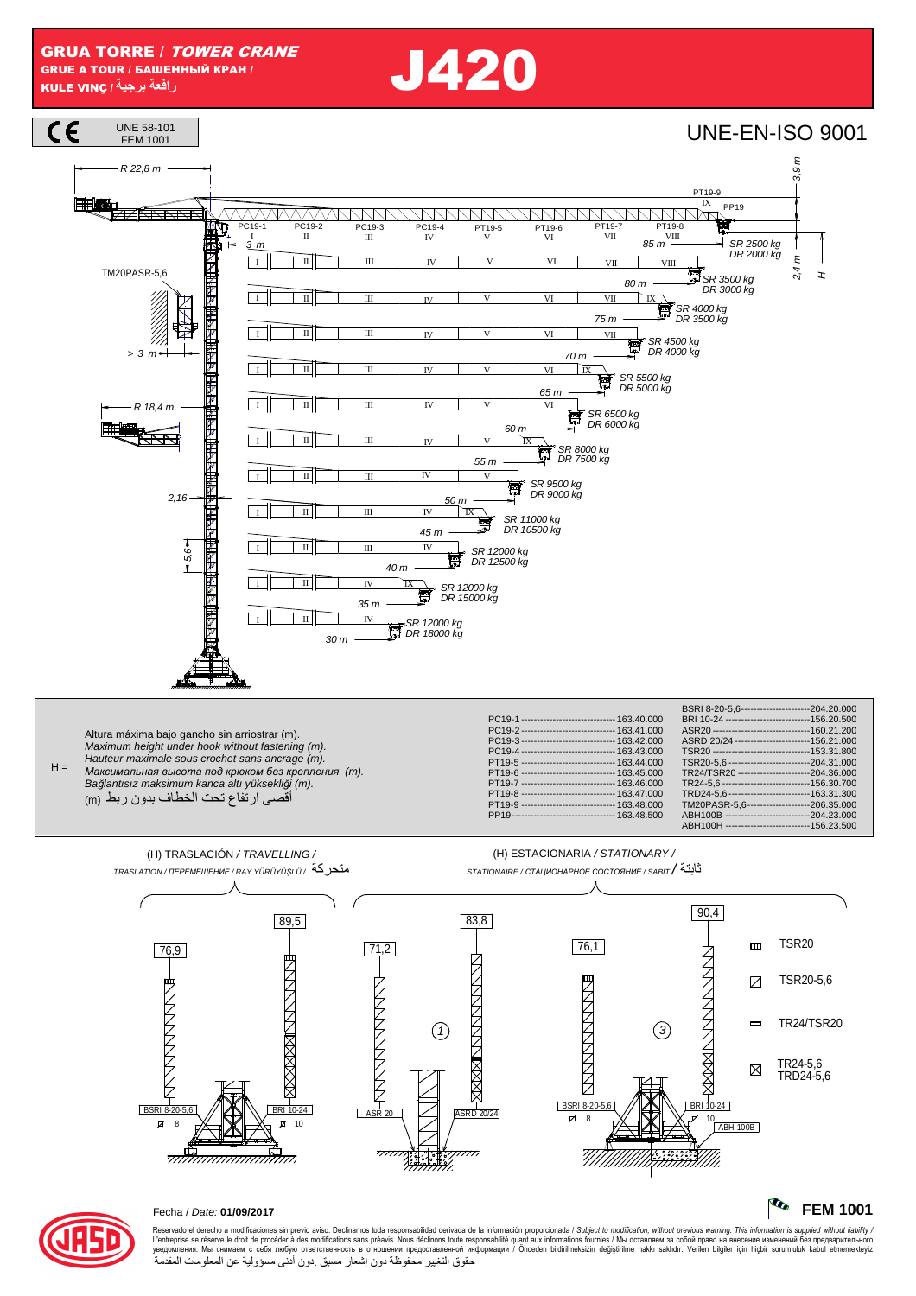**GRUA TORRE / TOWER CRANE GRUE A TOUR / БАШЕННЫЙ КРАН /** رافعة برجية/ KULE VINÇ

**J420** 





## Fecha / Date: 01/09/2017

<del>,,,,,,,,,,,,,,,,,,,,,,,,,,,,,,</del>

Reservado el derecho a modificaciones sin previo aviso. Declinamos toda responsabilidad derivada de la información proporcionada / Subject to modification, without previous warning. This information is supplied without li حقوق التغيير محفوظة دون إشعار مسبق دون أدنى مسؤولية عن المعلومات المقدمة

77),

 $\overline{77}$ 

## **The FEM 1001**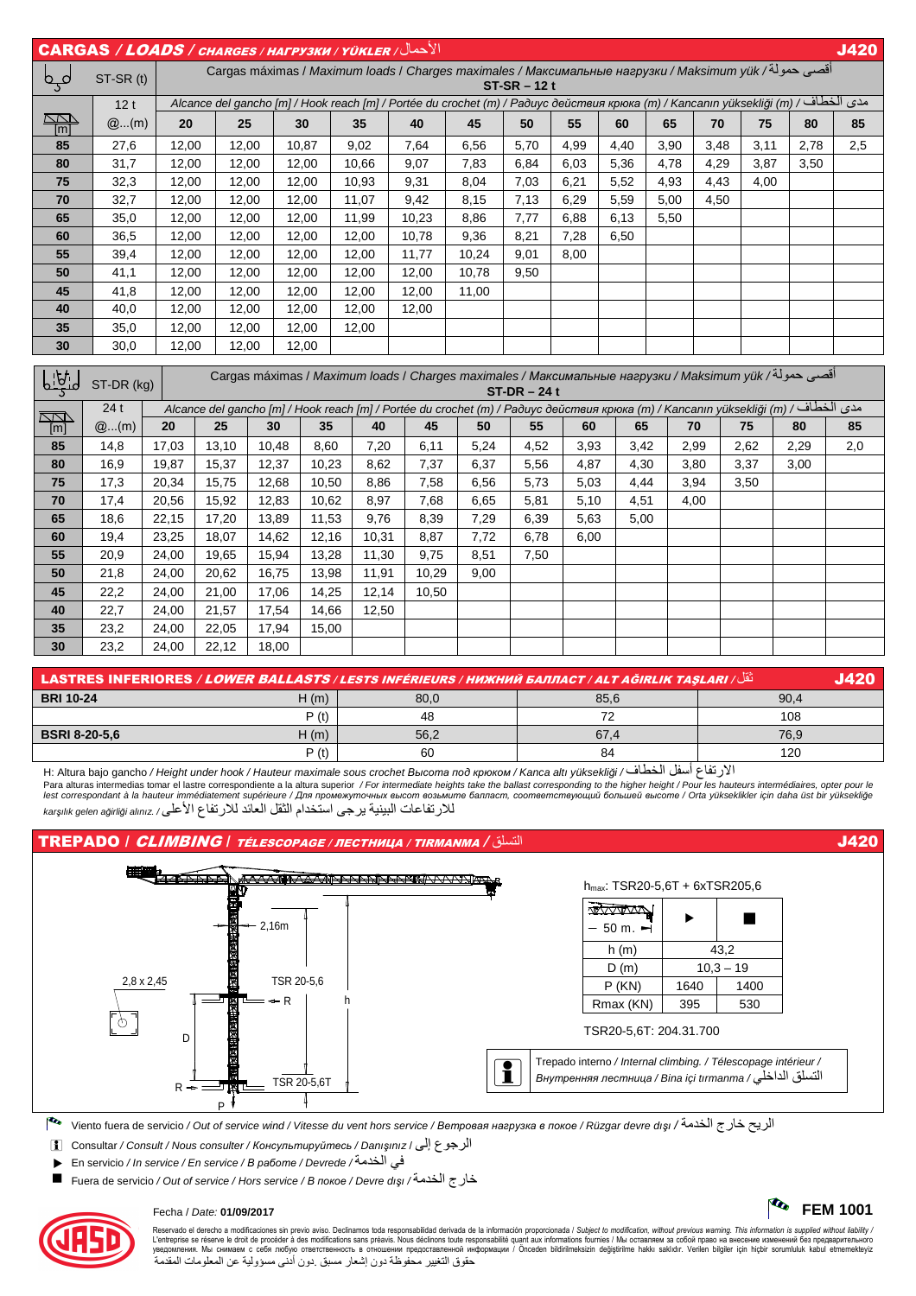| الأحمال/ CARGAS / LOADS / CHARGES / HAFPY3KW / YÜKLER<br><b>J420</b> |                                                                                                        |                |                                                                                                                                                      |                |                |                |                |                                                                                                                                                |                          |                                                      |                                |                                                      |                                |                                |                          |                          |                                |
|----------------------------------------------------------------------|--------------------------------------------------------------------------------------------------------|----------------|------------------------------------------------------------------------------------------------------------------------------------------------------|----------------|----------------|----------------|----------------|------------------------------------------------------------------------------------------------------------------------------------------------|--------------------------|------------------------------------------------------|--------------------------------|------------------------------------------------------|--------------------------------|--------------------------------|--------------------------|--------------------------|--------------------------------|
| فہو                                                                  | ST-SR (t)                                                                                              |                | أقصي حمولة/ Cargas máximas / Maximum loads / Charges maximales / Максимальные нагрузки / Maksimum yük<br>$ST-SR - 12t$                               |                |                |                |                |                                                                                                                                                |                          |                                                      |                                |                                                      |                                |                                |                          |                          |                                |
|                                                                      | 12t                                                                                                    |                | مدى الخطاف/ / Alcance del gancho [m] / Hook reach [m] / Portée du crochet (m) / Радиус действия крюка (m) / Kancanın yüksekliği (m) / طحطاف/ Alcance |                |                |                |                |                                                                                                                                                |                          |                                                      |                                |                                                      |                                |                                |                          |                          |                                |
| <b>RAN</b>                                                           | @(m)                                                                                                   | 20             |                                                                                                                                                      | 25             |                | 30             | 35             | 40                                                                                                                                             | 45                       | 50                                                   | 55                             | 60                                                   | 65                             | 70                             | 75                       | 80                       | 85                             |
| $\overline{[m]}$<br>85                                               | 27,6                                                                                                   | 12,00          |                                                                                                                                                      | 12,00          |                | 10,87          | 9,02           | 7,64                                                                                                                                           | 6,56                     | 5,70                                                 | 4,99                           | 4,40                                                 | 3,90                           | 3,48                           | 3,11                     | 2,78                     | 2,5                            |
| 80                                                                   | 31,7                                                                                                   | 12,00          |                                                                                                                                                      | 12,00          |                | 12,00          | 10,66          | 9,07                                                                                                                                           | 7,83                     | 6,84                                                 | 6,03                           | 5,36                                                 | 4,78                           | 4,29                           | 3,87                     | 3,50                     | $\overline{\phantom{0}}$       |
| 75                                                                   | 32,3                                                                                                   | 12,00          |                                                                                                                                                      | 12,00          |                | 12,00          | 10,93          | 9,31                                                                                                                                           | 8,04                     | 7,03                                                 | 6,21                           | 5,52                                                 | 4,93                           | 4,43                           | 4,00                     | $\overline{\phantom{0}}$ | $\overline{\phantom{0}}$       |
| 70                                                                   | 32,7                                                                                                   | 12,00          |                                                                                                                                                      | 12,00          |                | 12,00          | 11,07          | 9,42                                                                                                                                           | 8,15                     | 7,13                                                 | 6,29                           | 5,59                                                 | 5,00                           | 4,50                           | $\overline{\phantom{0}}$ |                          | $\overline{\phantom{0}}$       |
| 65                                                                   | 35,0                                                                                                   | 12,00          |                                                                                                                                                      | 12,00          |                | 12,00          | 11,99          | 10,23                                                                                                                                          | 8,86                     | 7,77                                                 | 6,88                           | 6,13                                                 | 5,50                           |                                |                          |                          | $\overline{\phantom{0}}$       |
| 60                                                                   | 36,5                                                                                                   | 12,00          |                                                                                                                                                      | 12,00          |                | 12,00          | 12,00          | 10,78                                                                                                                                          | 9,36                     | 8,21                                                 | 7,28                           | 6,50                                                 |                                | $\overline{\phantom{0}}$       | $\overline{\phantom{0}}$ | $\overline{\phantom{0}}$ | $\overline{\phantom{0}}$       |
| 55                                                                   | 39,4                                                                                                   | 12,00          |                                                                                                                                                      | 12,00          |                | 12,00          | 12,00          | 11,77                                                                                                                                          | 10,24                    | 9,01                                                 | 8,00                           | $\qquad \qquad$                                      | $\qquad \qquad \longleftarrow$ |                                | $\overline{\phantom{0}}$ | $\overline{\phantom{0}}$ | $\overline{\phantom{0}}$       |
| 50                                                                   | 41,1                                                                                                   | 12,00          |                                                                                                                                                      | 12,00          |                | 12,00          | 12,00          | 12,00                                                                                                                                          | 10,78                    | 9,50                                                 | $\hspace{0.05cm}$              |                                                      | $\overline{\phantom{0}}$       |                                |                          | $\overline{\phantom{0}}$ | $\overline{\phantom{0}}$       |
| 45                                                                   | 41,8                                                                                                   | 12,00          |                                                                                                                                                      | 12,00          |                | 12,00          | 12,00          | 12,00                                                                                                                                          | 11,00                    | $\overline{\phantom{0}}$                             |                                | $\overline{\phantom{0}}$                             |                                |                                | $\overline{\phantom{0}}$ | $\overline{\phantom{0}}$ | $\overline{\phantom{0}}$       |
| 40                                                                   | 40,0                                                                                                   | 12,00          |                                                                                                                                                      | 12,00          |                | 12,00          | 12,00          | 12,00                                                                                                                                          |                          | $\overbrace{\phantom{aaaaa}}$                        | $\overline{\phantom{0}}$       |                                                      | $\qquad \qquad \longleftarrow$ | $\overline{\phantom{0}}$       | —                        | $\overline{\phantom{0}}$ | $\qquad \qquad \longleftarrow$ |
| 35                                                                   | 35,0                                                                                                   | 12,00          |                                                                                                                                                      | 12,00          |                | 12,00          | 12,00          |                                                                                                                                                |                          | $\qquad \qquad$                                      | $\overline{\phantom{m}}$       |                                                      | $\qquad \qquad$                |                                |                          |                          |                                |
| 30                                                                   | 30,0                                                                                                   | 12,00          |                                                                                                                                                      | 12,00          |                | 12,00          |                |                                                                                                                                                |                          | $\overline{\phantom{a}}$                             |                                |                                                      |                                |                                |                          | <u>.</u>                 | $\overline{\phantom{0}}$       |
|                                                                      | أقصبي حمولة/ Cargas máximas / Maximum loads / Charges maximales / Максимальные нагрузки / Maksimum yük |                |                                                                                                                                                      |                |                |                |                |                                                                                                                                                |                          |                                                      |                                |                                                      |                                |                                |                          |                          |                                |
| <u>    bid</u>                                                       | ST-DR (kg)                                                                                             |                | $ST-DR - 24t$                                                                                                                                        |                |                |                |                |                                                                                                                                                |                          |                                                      |                                |                                                      |                                |                                |                          |                          |                                |
| <u>KKN</u>                                                           | 24t                                                                                                    |                |                                                                                                                                                      |                |                |                |                | مدى الخطاف/ Alcance del gancho [m] / Hook reach [m] / Portée du crochet (m) / Радиус действия крюка (m) / Kancanın yüksekliği (m) / مدى الخطاف |                          |                                                      |                                |                                                      |                                |                                |                          |                          |                                |
| $\sqrt{m}$                                                           | @(m)                                                                                                   | 20             |                                                                                                                                                      | 25             | 30             | 35             | 40             | 45                                                                                                                                             | 50                       | 55                                                   | 60                             | 65                                                   |                                | 70                             | 75                       | 80                       | 85                             |
| 85                                                                   | 14,8                                                                                                   | 17,03          |                                                                                                                                                      | 13,10          | 10,48          | 8,60           | 7,20           | 6,11                                                                                                                                           | 5,24                     | 4,52                                                 | 3,93                           | 3,42                                                 |                                | 2,99                           | 2,62                     | 2,29                     | 2,0                            |
| 80                                                                   | 16,9                                                                                                   | 19,87          |                                                                                                                                                      | 15,37          | 12,37          | 10,23          | 8,62           | 7,37                                                                                                                                           | 6,37                     | 5,56                                                 | 4,87                           | 4,30                                                 |                                | 3,80                           | 3,37                     | 3,00                     |                                |
| 75                                                                   | 17,3                                                                                                   | 20,34          |                                                                                                                                                      | 15,75          | 12,68          | 10,50          | 8,86           | 7,58                                                                                                                                           | 6,56                     | 5,73                                                 | 5,03                           | 4,44                                                 |                                | 3,94                           | 3,50                     | $\overline{\phantom{0}}$ | $\hspace{0.05cm}$              |
| 70                                                                   | 17,4                                                                                                   | 20,56          |                                                                                                                                                      | 15,92          | 12,83          | 10,62          | 8,97           | 7,68                                                                                                                                           | 6,65                     | 5,81                                                 | 5,10                           | 4,51                                                 |                                | 4,00                           |                          | $\overline{\phantom{0}}$ | $\overline{\phantom{0}}$       |
| 65                                                                   | 18,6                                                                                                   | 22,15          |                                                                                                                                                      | 17,20          | 13,89          | 11,53          | 9,76           | 8,39                                                                                                                                           | 7,29                     | 6,39                                                 | 5,63                           | 5,00                                                 |                                |                                | $\qquad \qquad$          |                          | $\overline{\phantom{0}}$       |
| 60                                                                   | 19,4                                                                                                   | 23,25          |                                                                                                                                                      | 18,07          | 14,62          | 12,16          | 10,31          | 8,87                                                                                                                                           | 7,72                     | 6,78                                                 | 6,00                           |                                                      |                                |                                | $\overline{\phantom{0}}$ | $\overline{\phantom{0}}$ |                                |
| 55                                                                   | 20,9                                                                                                   | 24,00          |                                                                                                                                                      | 19,65          | 15,94          | 13,28          | 11,30          | 9,75                                                                                                                                           | 8,51                     | 7,50                                                 |                                | $\overline{\phantom{0}}$                             |                                | $\overline{\phantom{0}}$       |                          | $\overline{\phantom{0}}$ |                                |
| 50<br>45                                                             | 21,8<br>22,2                                                                                           | 24,00<br>24,00 |                                                                                                                                                      | 20,62<br>21,00 | 16,75<br>17,06 | 13,98<br>14,25 | 11,91<br>12,14 | 10,29<br>10,50                                                                                                                                 | 9,00                     | $\overline{\phantom{0}}$                             |                                | $\overline{\phantom{0}}$                             |                                | $\overline{\phantom{0}}$       | $\overline{\phantom{0}}$ | $\overline{\phantom{0}}$ |                                |
| 40                                                                   | 22,7                                                                                                   | 24,00          |                                                                                                                                                      | 21,57          | 17,54          | 14,66          | 12,50          |                                                                                                                                                |                          | —                                                    | $\hspace{0.05cm}$              | $\overline{\phantom{0}}$<br>$\overline{\phantom{0}}$ |                                | —                              | $\overline{\phantom{0}}$ |                          |                                |
| 35                                                                   | 23,2                                                                                                   | 24,00          |                                                                                                                                                      | 22,05          | 17,94          | 15,00          |                |                                                                                                                                                | $\overline{\phantom{0}}$ |                                                      | $\qquad \qquad \longleftarrow$ | $\overline{\phantom{0}}$                             |                                | $\overline{\phantom{0}}$       | —                        | $\overline{\phantom{0}}$ | -                              |
| 30                                                                   | 23,2                                                                                                   | 24,00          |                                                                                                                                                      | 22,12          | 18,00          |                |                | $\overline{\phantom{0}}$                                                                                                                       | $\overline{\phantom{0}}$ | $\overline{\phantom{0}}$<br>$\overline{\phantom{0}}$ |                                |                                                      |                                | $\qquad \qquad \longleftarrow$ | $\qquad \qquad$          | $\overline{\phantom{0}}$ |                                |
|                                                                      |                                                                                                        |                |                                                                                                                                                      |                |                |                |                |                                                                                                                                                |                          |                                                      |                                |                                                      |                                |                                |                          |                          |                                |

|                      |      | نْقُل/ LASTRES INFERIORES / <i>LOWER BALLASTS / LESTS INFÉRIEURS / HИЖНИЙ БАЛЛАСТ / ALT AĞIRLIK TAŞLARI</i> |      |      |
|----------------------|------|-------------------------------------------------------------------------------------------------------------|------|------|
| <b>BRI 10-24</b>     | H(m) | 80,0                                                                                                        | 85,6 | 90.4 |
|                      | P(t) | 48                                                                                                          |      | 108  |
| <b>BSRI 8-20-5.6</b> | H(m) | 56,2                                                                                                        | 67.4 | 76.9 |
|                      | D(f) | 60                                                                                                          | 84   | 120  |

H: Altura bajo gancho / Height under hook / Hauteur maximale sous crochet *Высота под крюком* / Kanca altı yüksekli*ğ*i / ف ,-ا 5 6أ ع /ر7ا Para alturas intermedias tomar el lastre correspondiente a la altura superior / For intermediate heights take the ballast corresponding to the higher height / Pour les hauteurs intermédiaires, opter pour le<br>lest correspon للار تفاعات البينية يرجى استخدام الثقل العائد للار تفاع الأعلى/ karşılık gelen ağirliği alınız



Pto Viento fuera de servicio / Out of service wind / Vitesse du vent hors service / *Ветровая нагрузка <sup>в</sup> покое* / Rüzgar devre dı*ş*ı / --ا رج @ A;"ا

i Consultar / Consult / Nous consulter / *Консультируйтесь* / Danı*ş*ınız / إ ع:"ا

· En servicio / In service / En service / *<sup>В</sup> работе* / Devrede / --ا BC

Fuera de servicio / Out of service / Hors service / *<sup>В</sup> покое* / Devre dı*ş*ı / --ا رج@



Reservado el derecho a modificaciones sin previo aviso. Declinamos toda responsabilidad derivada de la información proporcionada / Subjec*t to modification, without previous warning. This information is supplied without l* حقوق التغيير محفوظة دون إشعار مسبق دون أدنى مسؤولية عن المعلومات المقدمة

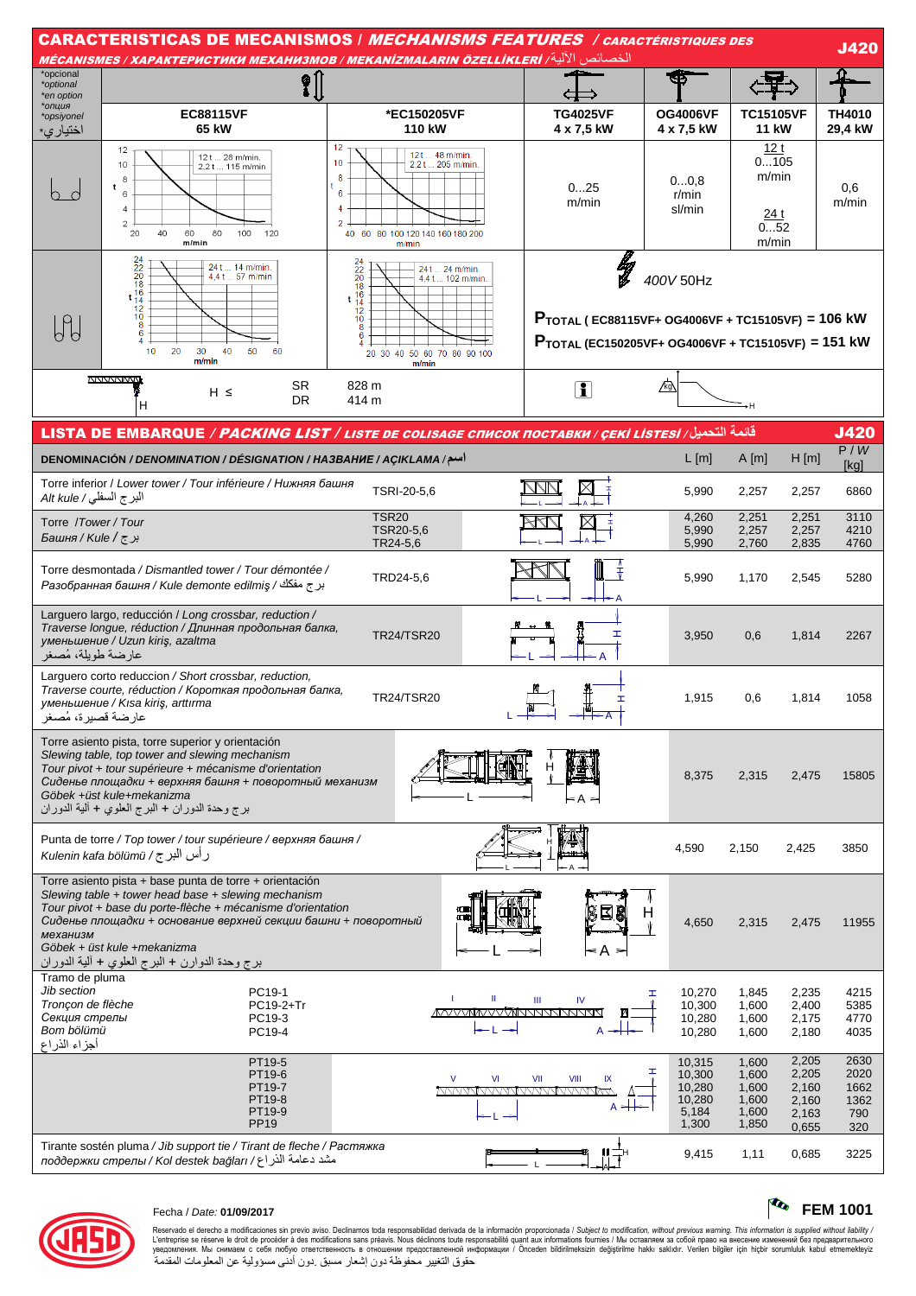| <b>CARACTERISTICAS DE MECANISMOS / <i>MECHANISMS FEATURES / caractéristiques des</i></b><br><u> الخصائص الآلية/ MÉCANISMES / ХАРАКТЕРИСТИКИ МЕХАНИЗМОВ / МЕКАNIZMALARIN ÖZELLİKLERİ</u> |                                                                                                                                                                                                                                                                                                                                  |                                                                                                                                                                |    |                                                                                                                                             |                                                        |                                                     |                                                    |                                            |  |
|-----------------------------------------------------------------------------------------------------------------------------------------------------------------------------------------|----------------------------------------------------------------------------------------------------------------------------------------------------------------------------------------------------------------------------------------------------------------------------------------------------------------------------------|----------------------------------------------------------------------------------------------------------------------------------------------------------------|----|---------------------------------------------------------------------------------------------------------------------------------------------|--------------------------------------------------------|-----------------------------------------------------|----------------------------------------------------|--------------------------------------------|--|
| *opcional<br>*optional<br>*en option<br>*опция                                                                                                                                          | ?¦<br><b>EC88115VF</b>                                                                                                                                                                                                                                                                                                           | *EC150205VF                                                                                                                                                    |    | <b>TG4025VF</b>                                                                                                                             | <b>OG4006VF</b>                                        | <b>TC15105VF</b>                                    |                                                    | <b>TH4010</b>                              |  |
| *opsiyonel<br>اختيار ي*                                                                                                                                                                 | 65 kW                                                                                                                                                                                                                                                                                                                            | 110 kW                                                                                                                                                         |    | 4 x 7,5 kW                                                                                                                                  | 4 x 7,5 kW                                             | 11 kW                                               |                                                    | 29,4 kW                                    |  |
|                                                                                                                                                                                         | 12<br>12 t  28 m/min.<br>10<br>2,2t 115 m/min<br>8<br>t<br>6<br>$\overline{4}$<br>$\overline{c}$<br>40<br>60<br>80<br>100<br>20<br>120<br>m/min                                                                                                                                                                                  | 12<br>121  48 m/min.<br>10<br>2,2 t  205 m/min.<br>8<br>6<br>4<br>2<br>60 80 100 120 140 160 180 200<br>40<br>m/min                                            |    | 025<br>m/min                                                                                                                                | 00,8<br>r/min<br>sl/min                                | 12t<br>0105<br>m/min<br><u>24 t</u><br>052<br>m/min |                                                    | 0,6<br>m/min                               |  |
| $\mathbb{H}$                                                                                                                                                                            | $24220$<br>$20816$<br>$t14210$<br>$8$<br>24 t  14 m/min.<br>4.4 t  57 m/min<br>10<br>20<br>30<br>40<br>50<br>60<br>m/min                                                                                                                                                                                                         | $^{24}_{22}$<br>$^{20}_{20}$<br>24 t  24 m/min.<br>4.4 t  102 m/min.<br>18<br>$t\frac{16}{14}$<br>$\frac{12}{10}$<br>8<br>20 30 40 50 60 70 80 90 100<br>m/min |    | lig<br>V<br>$P_{\text{TOTAL}}$ (EC88115VF+ OG4006VF + TC15105VF) = 106 kW<br>$P_{\text{TOTAL}}$ (EC150205VF+ OG4006VF + TC15105VF) = 151 kW | 400V 50Hz                                              |                                                     |                                                    |                                            |  |
|                                                                                                                                                                                         | <b>NVVVVVVVV</b><br>SR.<br>$H \leq$<br><b>DR</b><br>н                                                                                                                                                                                                                                                                            | 828 m<br>414 m                                                                                                                                                 |    | $\mathbf{I}$                                                                                                                                | 囚                                                      | →H                                                  |                                                    |                                            |  |
|                                                                                                                                                                                         | قائمة التحميل/ LISTA DE EMBARQUE / PACKING LIST / LISTE DE COLISAGE CПИСОК ПОСТАВКИ / ÇEKİ LISTESİ                                                                                                                                                                                                                               |                                                                                                                                                                |    |                                                                                                                                             |                                                        |                                                     |                                                    | <b>J420</b>                                |  |
|                                                                                                                                                                                         | DENOMINACIÓN / DENOMINATION / DÉSIGNATION / HA3BAHHE / AÇIKLAMA / اسم                                                                                                                                                                                                                                                            |                                                                                                                                                                |    |                                                                                                                                             | $L$ [m]                                                | $A$ [m]                                             | H[m]                                               | P/W<br>[kg]                                |  |
| البرج السفلي/ Alt kule                                                                                                                                                                  | Torre inferior / Lower tower / Tour inférieure / Нижняя башня                                                                                                                                                                                                                                                                    | TSRI-20-5,6                                                                                                                                                    |    |                                                                                                                                             | 5,990                                                  | 2,257                                               | 2,257                                              | 6860                                       |  |
| Torre /Tower/Tour<br>بر ج / Башня / Kule /                                                                                                                                              |                                                                                                                                                                                                                                                                                                                                  | <b>TSR20</b><br>TSR20-5,6<br>TR24-5,6                                                                                                                          |    | 4,260<br>5,990<br>5,990                                                                                                                     | 2,251<br>2,257<br>2,760                                | 2,251<br>2,257<br>2,835                             | 3110<br>4210<br>4760                               |                                            |  |
|                                                                                                                                                                                         | Torre desmontada / Dismantled tower / Tour démontée /<br>برج مفكك / Paзобранная башня / Kule demonte edilmiş                                                                                                                                                                                                                     | TRD24-5,6                                                                                                                                                      |    |                                                                                                                                             | 5,990                                                  | 1,170                                               | 2,545                                              | 5280                                       |  |
| عارضة طويلة، مُصغر                                                                                                                                                                      | Larguero largo, reducción / Long crossbar, reduction /<br>Traverse longue, réduction / Длинная продольная балка,<br>уменьшение / Uzun kiriş, azaltma                                                                                                                                                                             | <b>TR24/TSR20</b>                                                                                                                                              |    | I                                                                                                                                           | 3,950                                                  | 0,6                                                 | 1,814                                              | 2267                                       |  |
| عارضة قصيرة، مُصغر                                                                                                                                                                      | Larguero corto reduccion / Short crossbar, reduction,<br>Traverse courte, réduction / Короткая продольная балка,<br>уменьшение / Kisa kiriş, arttırma                                                                                                                                                                            | <b>TR24/TSR20</b>                                                                                                                                              |    |                                                                                                                                             | 1,915                                                  | 0,6                                                 | 1,814                                              | 1058                                       |  |
|                                                                                                                                                                                         | Torre asiento pista, torre superior y orientación<br>Slewing table, top tower and slewing mechanism<br>Tour pivot + tour supérieure + mécanisme d'orientation<br>Сиденье площадки + верхняя башня + поворотный механизм<br>Göbek +üst kule+mekanizma<br>برج وحدة الدوران + البرج العلوي + ألية الدوران                           |                                                                                                                                                                |    | < A >                                                                                                                                       | 8,375                                                  | 2,315                                               | 2,475                                              | 15805                                      |  |
|                                                                                                                                                                                         | Punta de torre / Top tower / tour supérieure / верхняя башня /<br>رأس البر ج / Kulenin kafa bölümü                                                                                                                                                                                                                               |                                                                                                                                                                |    |                                                                                                                                             | 4,590                                                  | 2,150                                               | 2,425                                              | 3850                                       |  |
| механизм                                                                                                                                                                                | Torre asiento pista + base punta de torre + orientación<br>Slewing table + tower head base + slewing mechanism<br>Tour pivot + base du porte-flèche + mécanisme d'orientation<br>Сиденье площадки + основание верхней секции башни + поворотный<br>Göbek + üst kule +mekanizma<br>برج وحدة الدوارن + البرج العلوي + ألية الدوران |                                                                                                                                                                |    |                                                                                                                                             | н<br>4,650                                             | 2,315                                               | 2,475                                              | 11955                                      |  |
| Tramo de pluma<br>Jib section<br>Tronçon de flèche<br>Секция стрелы<br>Bom bölümü<br>أجزاء الذراع                                                                                       | PC19-1<br>PC19-2+Tr<br>PC19-3<br>PC19-4                                                                                                                                                                                                                                                                                          |                                                                                                                                                                | Ш  | Ш<br>IV<br><b>MAYYAMMAYOVANNANSIN</b>                                                                                                       | 10,270<br>ェ<br>10,300<br>10,280<br>10,280              | 1,845<br>1,600<br>1,600<br>1,600                    | 2,235<br>2,400<br>2,175<br>2,180                   | 4215<br>5385<br>4770<br>4035               |  |
|                                                                                                                                                                                         | PT19-5<br>PT19-6<br>PT19-7<br>PT19-8<br>PT19-9<br><b>PP19</b>                                                                                                                                                                                                                                                                    | $\vee$                                                                                                                                                         | VI | VII<br>VIII                                                                                                                                 | 10,315<br>10,300<br>10,280<br>10,280<br>5,184<br>1,300 | 1,600<br>1,600<br>1,600<br>1,600<br>1,600<br>1,850  | 2,205<br>2,205<br>2,160<br>2,160<br>2,163<br>0,655 | 2630<br>2020<br>1662<br>1362<br>790<br>320 |  |
|                                                                                                                                                                                         | Tirante sostén pluma / Jib support tie / Tirant de fleche / Растяжка<br>مشد دعامة الذر اع/ лоддержки стрелы / Kol destek bağları                                                                                                                                                                                                 |                                                                                                                                                                |    |                                                                                                                                             | 9,415                                                  | 1,11                                                | 0,685                                              | 3225                                       |  |



## Fecha / Date: 01/09/2017

Reservado el derecho a modificaciones sin previo aviso. Declinamos toda responsabilidad derivada de la información proporcionada / Subject to *modification, without previous warning. This information is supplied without* 

 $\frac{1}{2}$  FEM 1001